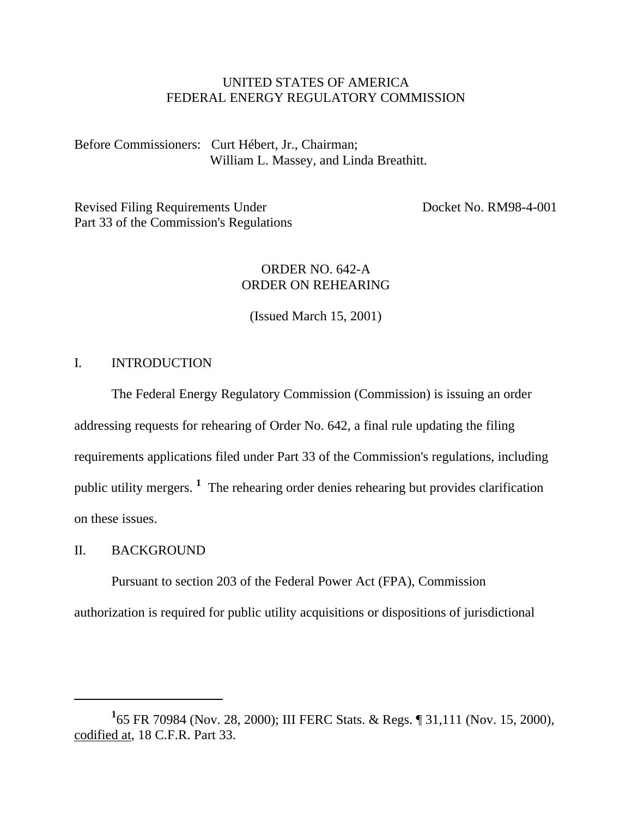# UNITED STATES OF AMERICA FEDERAL ENERGY REGULATORY COMMISSION

Before Commissioners: Curt Hébert, Jr., Chairman; William L. Massey, and Linda Breathitt.

Revised Filing Requirements Under Docket No. RM98-4-001 Part 33 of the Commission's Regulations

# ORDER NO. 642-A ORDER ON REHEARING

(Issued March 15, 2001)

# I. INTRODUCTION

The Federal Energy Regulatory Commission (Commission) is issuing an order addressing requests for rehearing of Order No. 642, a final rule updating the filing requirements applications filed under Part 33 of the Commission's regulations, including public utility mergers. **<sup>1</sup>** The rehearing order denies rehearing but provides clarification on these issues.

# II. BACKGROUND

Pursuant to section 203 of the Federal Power Act (FPA), Commission authorization is required for public utility acquisitions or dispositions of jurisdictional

**<sup>1</sup>** 65 FR 70984 (Nov. 28, 2000); III FERC Stats. & Regs. ¶ 31,111 (Nov. 15, 2000), codified at, 18 C.F.R. Part 33.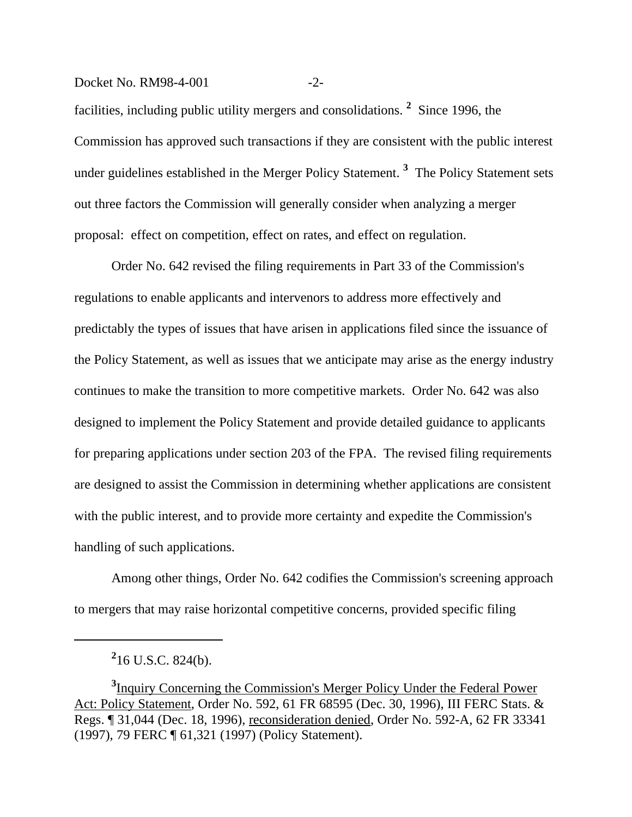#### Docket No. RM98-4-001 -2-

facilities, including public utility mergers and consolidations. **<sup>2</sup>** Since 1996, the Commission has approved such transactions if they are consistent with the public interest under guidelines established in the Merger Policy Statement. **<sup>3</sup>** The Policy Statement sets out three factors the Commission will generally consider when analyzing a merger proposal: effect on competition, effect on rates, and effect on regulation.

Order No. 642 revised the filing requirements in Part 33 of the Commission's regulations to enable applicants and intervenors to address more effectively and predictably the types of issues that have arisen in applications filed since the issuance of the Policy Statement, as well as issues that we anticipate may arise as the energy industry continues to make the transition to more competitive markets. Order No. 642 was also designed to implement the Policy Statement and provide detailed guidance to applicants for preparing applications under section 203 of the FPA. The revised filing requirements are designed to assist the Commission in determining whether applications are consistent with the public interest, and to provide more certainty and expedite the Commission's handling of such applications.

Among other things, Order No. 642 codifies the Commission's screening approach to mergers that may raise horizontal competitive concerns, provided specific filing

**2** 16 U.S.C. 824(b).

**<sup>3</sup>** Inquiry Concerning the Commission's Merger Policy Under the Federal Power Act: Policy Statement, Order No. 592, 61 FR 68595 (Dec. 30, 1996), III FERC Stats. & Regs. ¶ 31,044 (Dec. 18, 1996), reconsideration denied, Order No. 592-A, 62 FR 33341 (1997), 79 FERC ¶ 61,321 (1997) (Policy Statement).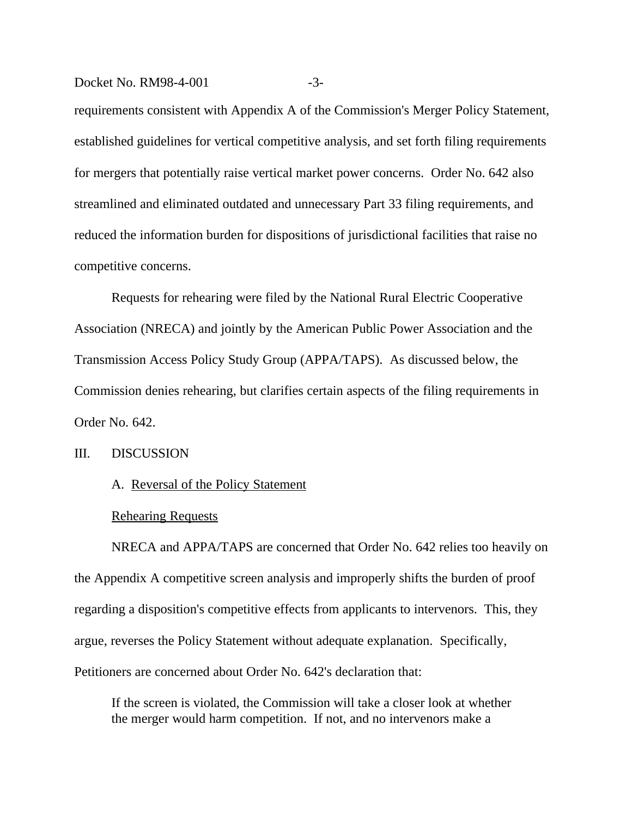#### Docket No. RM98-4-001 -3-

requirements consistent with Appendix A of the Commission's Merger Policy Statement, established guidelines for vertical competitive analysis, and set forth filing requirements for mergers that potentially raise vertical market power concerns. Order No. 642 also streamlined and eliminated outdated and unnecessary Part 33 filing requirements, and reduced the information burden for dispositions of jurisdictional facilities that raise no competitive concerns.

Requests for rehearing were filed by the National Rural Electric Cooperative Association (NRECA) and jointly by the American Public Power Association and the Transmission Access Policy Study Group (APPA/TAPS). As discussed below, the Commission denies rehearing, but clarifies certain aspects of the filing requirements in Order No. 642.

# III. DISCUSSION

# A. Reversal of the Policy Statement

#### Rehearing Requests

NRECA and APPA/TAPS are concerned that Order No. 642 relies too heavily on the Appendix A competitive screen analysis and improperly shifts the burden of proof regarding a disposition's competitive effects from applicants to intervenors. This, they argue, reverses the Policy Statement without adequate explanation. Specifically, Petitioners are concerned about Order No. 642's declaration that:

If the screen is violated, the Commission will take a closer look at whether the merger would harm competition. If not, and no intervenors make a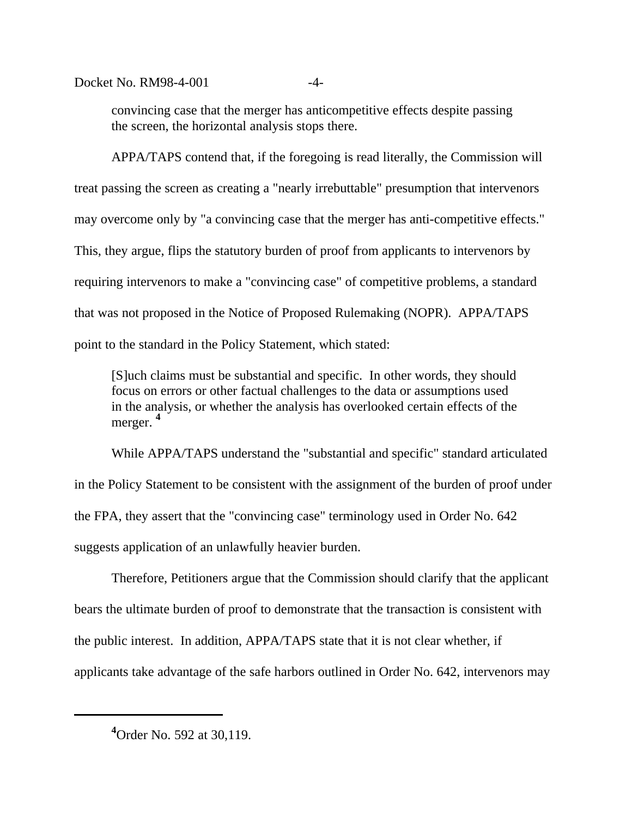Docket No. RM98-4-001 -4-

convincing case that the merger has anticompetitive effects despite passing the screen, the horizontal analysis stops there.

APPA/TAPS contend that, if the foregoing is read literally, the Commission will treat passing the screen as creating a "nearly irrebuttable" presumption that intervenors may overcome only by "a convincing case that the merger has anti-competitive effects." This, they argue, flips the statutory burden of proof from applicants to intervenors by requiring intervenors to make a "convincing case" of competitive problems, a standard that was not proposed in the Notice of Proposed Rulemaking (NOPR). APPA/TAPS point to the standard in the Policy Statement, which stated:

[S]uch claims must be substantial and specific. In other words, they should focus on errors or other factual challenges to the data or assumptions used in the analysis, or whether the analysis has overlooked certain effects of the merger. **4**

While APPA/TAPS understand the "substantial and specific" standard articulated in the Policy Statement to be consistent with the assignment of the burden of proof under the FPA, they assert that the "convincing case" terminology used in Order No. 642 suggests application of an unlawfully heavier burden.

Therefore, Petitioners argue that the Commission should clarify that the applicant bears the ultimate burden of proof to demonstrate that the transaction is consistent with the public interest. In addition, APPA/TAPS state that it is not clear whether, if applicants take advantage of the safe harbors outlined in Order No. 642, intervenors may

**<sup>4</sup>**Order No. 592 at 30,119.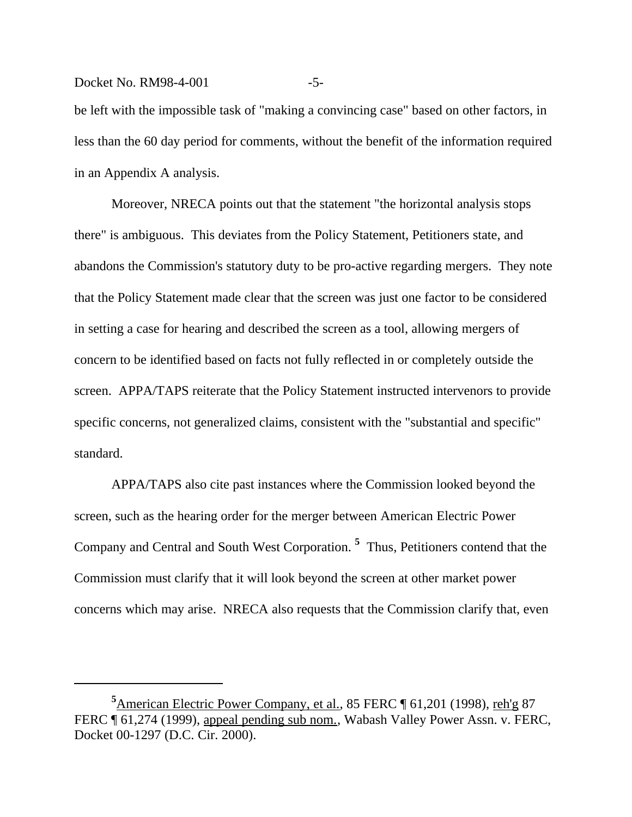#### Docket No. RM98-4-001 -5-

be left with the impossible task of "making a convincing case" based on other factors, in less than the 60 day period for comments, without the benefit of the information required in an Appendix A analysis.

Moreover, NRECA points out that the statement "the horizontal analysis stops there" is ambiguous. This deviates from the Policy Statement, Petitioners state, and abandons the Commission's statutory duty to be pro-active regarding mergers. They note that the Policy Statement made clear that the screen was just one factor to be considered in setting a case for hearing and described the screen as a tool, allowing mergers of concern to be identified based on facts not fully reflected in or completely outside the screen. APPA/TAPS reiterate that the Policy Statement instructed intervenors to provide specific concerns, not generalized claims, consistent with the "substantial and specific" standard.

APPA/TAPS also cite past instances where the Commission looked beyond the screen, such as the hearing order for the merger between American Electric Power Company and Central and South West Corporation. **<sup>5</sup>** Thus, Petitioners contend that the Commission must clarify that it will look beyond the screen at other market power concerns which may arise. NRECA also requests that the Commission clarify that, even

<sup>&</sup>lt;sup>5</sup>American Electric Power Company, et al., 85 FERC [ 61,201 (1998), reh'g 87 FERC ¶ 61,274 (1999), appeal pending sub nom., Wabash Valley Power Assn. v. FERC, Docket 00-1297 (D.C. Cir. 2000).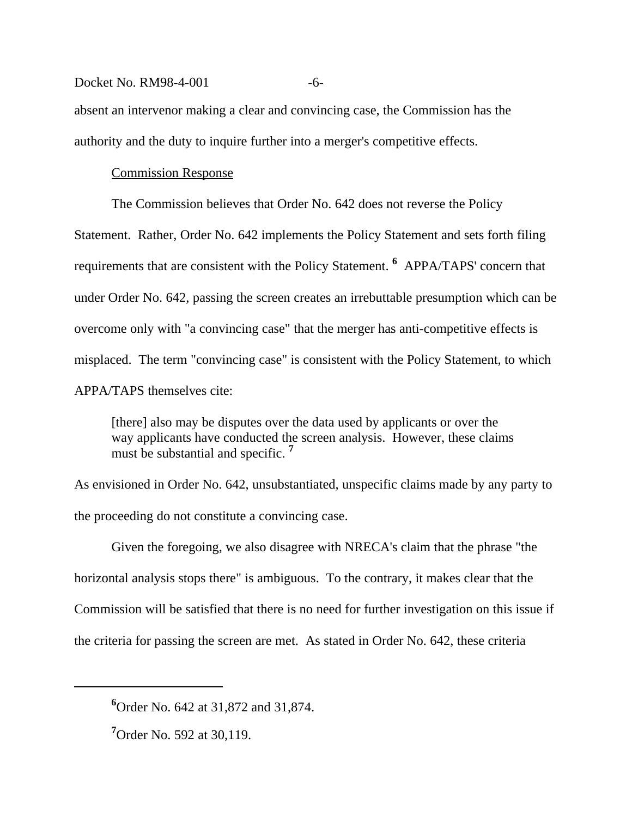#### Docket No. RM98-4-001 -6-

absent an intervenor making a clear and convincing case, the Commission has the authority and the duty to inquire further into a merger's competitive effects.

# Commission Response

The Commission believes that Order No. 642 does not reverse the Policy Statement. Rather, Order No. 642 implements the Policy Statement and sets forth filing requirements that are consistent with the Policy Statement. **<sup>6</sup>** APPA/TAPS' concern that under Order No. 642, passing the screen creates an irrebuttable presumption which can be overcome only with "a convincing case" that the merger has anti-competitive effects is misplaced. The term "convincing case" is consistent with the Policy Statement, to which APPA/TAPS themselves cite:

[there] also may be disputes over the data used by applicants or over the way applicants have conducted the screen analysis. However, these claims must be substantial and specific. **<sup>7</sup>**

As envisioned in Order No. 642, unsubstantiated, unspecific claims made by any party to the proceeding do not constitute a convincing case.

Given the foregoing, we also disagree with NRECA's claim that the phrase "the horizontal analysis stops there" is ambiguous. To the contrary, it makes clear that the Commission will be satisfied that there is no need for further investigation on this issue if the criteria for passing the screen are met. As stated in Order No. 642, these criteria

**<sup>6</sup>**Order No. 642 at 31,872 and 31,874.

**<sup>7</sup>**Order No. 592 at 30,119.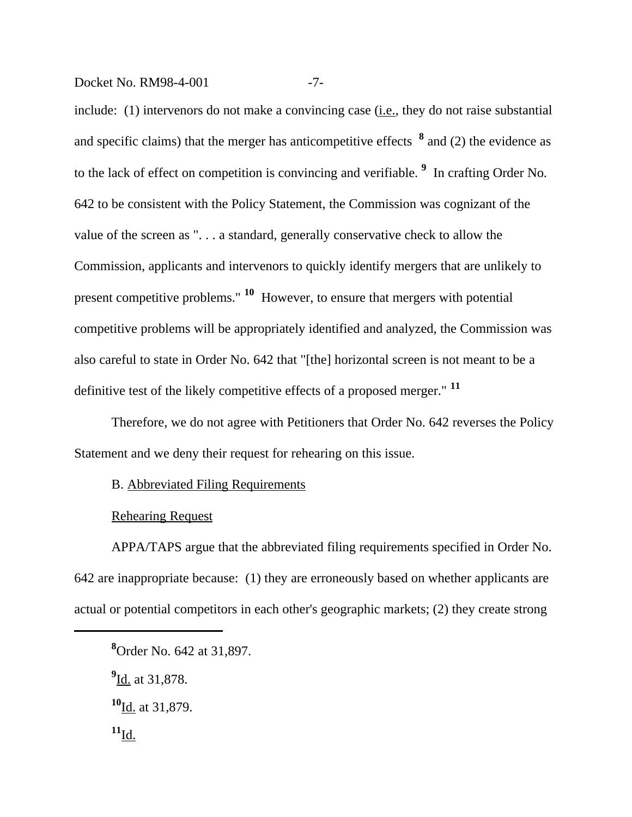Docket No. RM98-4-001 -7-

include: (1) intervenors do not make a convincing case (i.e., they do not raise substantial and specific claims) that the merger has anticompetitive effects **<sup>8</sup>** and (2) the evidence as to the lack of effect on competition is convincing and verifiable. **<sup>9</sup>** In crafting Order No. 642 to be consistent with the Policy Statement, the Commission was cognizant of the value of the screen as ". . . a standard, generally conservative check to allow the Commission, applicants and intervenors to quickly identify mergers that are unlikely to present competitive problems." **10** However, to ensure that mergers with potential competitive problems will be appropriately identified and analyzed, the Commission was also careful to state in Order No. 642 that "[the] horizontal screen is not meant to be a definitive test of the likely competitive effects of a proposed merger." **<sup>11</sup>**

Therefore, we do not agree with Petitioners that Order No. 642 reverses the Policy Statement and we deny their request for rehearing on this issue.

# B. Abbreviated Filing Requirements

# Rehearing Request

APPA/TAPS argue that the abbreviated filing requirements specified in Order No. 642 are inappropriate because: (1) they are erroneously based on whether applicants are actual or potential competitors in each other's geographic markets; (2) they create strong

**9** Id. at 31,878.

**<sup>8</sup>**Order No. 642 at 31,897.

**<sup>10</sup>**Id. at 31,879.

 $^{11}$ Id.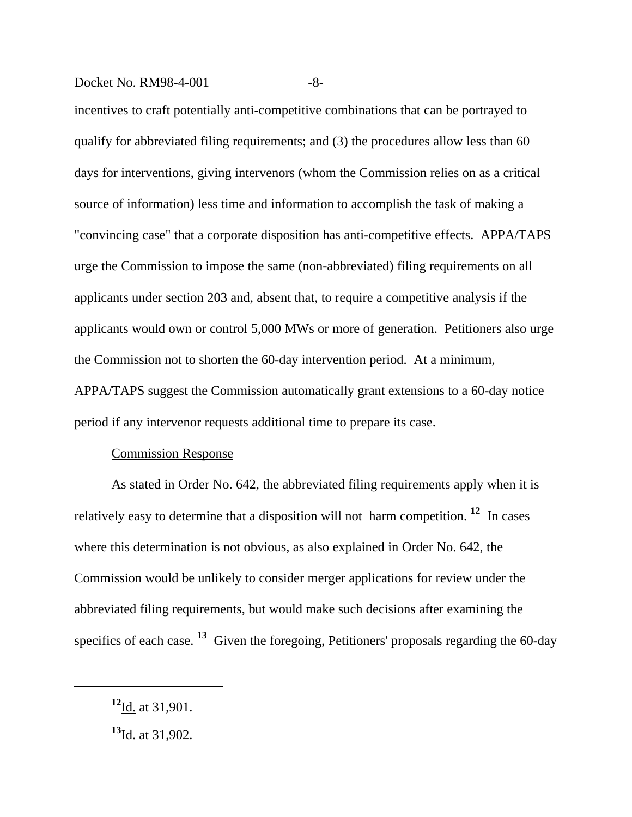#### Docket No. RM98-4-001 -8-

incentives to craft potentially anti-competitive combinations that can be portrayed to qualify for abbreviated filing requirements; and (3) the procedures allow less than 60 days for interventions, giving intervenors (whom the Commission relies on as a critical source of information) less time and information to accomplish the task of making a "convincing case" that a corporate disposition has anti-competitive effects. APPA/TAPS urge the Commission to impose the same (non-abbreviated) filing requirements on all applicants under section 203 and, absent that, to require a competitive analysis if the applicants would own or control 5,000 MWs or more of generation. Petitioners also urge the Commission not to shorten the 60-day intervention period. At a minimum, APPA/TAPS suggest the Commission automatically grant extensions to a 60-day notice period if any intervenor requests additional time to prepare its case.

# Commission Response

As stated in Order No. 642, the abbreviated filing requirements apply when it is relatively easy to determine that a disposition will not harm competition. **12** In cases where this determination is not obvious, as also explained in Order No. 642, the Commission would be unlikely to consider merger applications for review under the abbreviated filing requirements, but would make such decisions after examining the specifics of each case. **13** Given the foregoing, Petitioners' proposals regarding the 60-day

**<sup>12</sup>**Id. at 31,901.

**<sup>13</sup>**Id. at 31,902.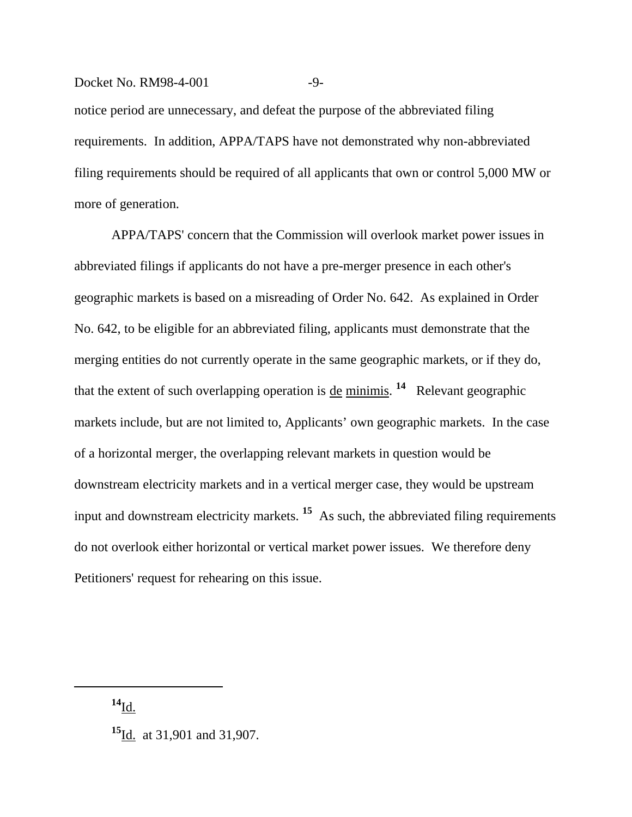# Docket No. RM98-4-001 -9-

notice period are unnecessary, and defeat the purpose of the abbreviated filing requirements. In addition, APPA/TAPS have not demonstrated why non-abbreviated filing requirements should be required of all applicants that own or control 5,000 MW or more of generation.

APPA/TAPS' concern that the Commission will overlook market power issues in abbreviated filings if applicants do not have a pre-merger presence in each other's geographic markets is based on a misreading of Order No. 642. As explained in Order No. 642, to be eligible for an abbreviated filing, applicants must demonstrate that the merging entities do not currently operate in the same geographic markets, or if they do, that the extent of such overlapping operation is <u>de minimis</u>. <sup>14</sup> Relevant geographic markets include, but are not limited to, Applicants' own geographic markets. In the case of a horizontal merger, the overlapping relevant markets in question would be downstream electricity markets and in a vertical merger case, they would be upstream input and downstream electricity markets. **15** As such, the abbreviated filing requirements do not overlook either horizontal or vertical market power issues. We therefore deny Petitioners' request for rehearing on this issue.

**<sup>14</sup>**Id.

**<sup>15</sup>**Id. at 31,901 and 31,907.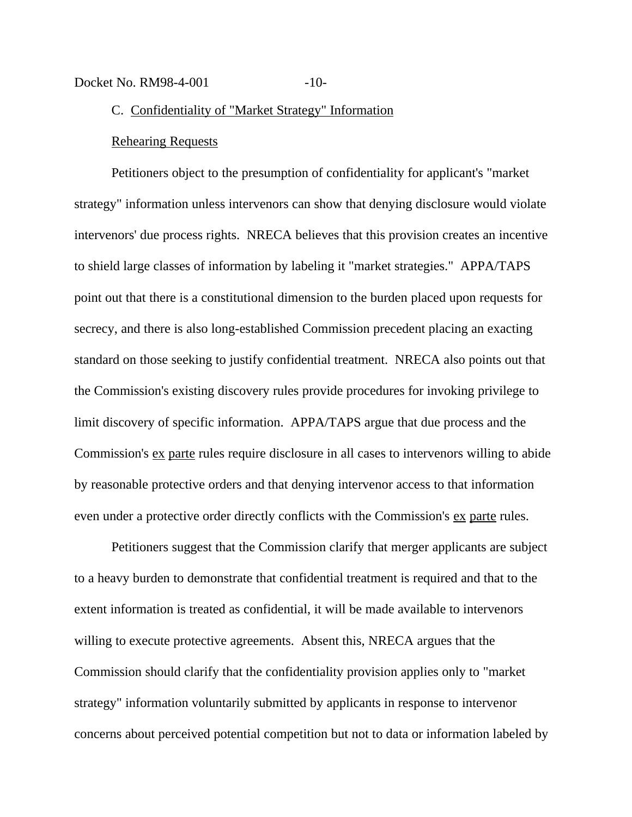# Docket No. RM98-4-001 -10-

# C. Confidentiality of "Market Strategy" Information

#### Rehearing Requests

Petitioners object to the presumption of confidentiality for applicant's "market strategy" information unless intervenors can show that denying disclosure would violate intervenors' due process rights. NRECA believes that this provision creates an incentive to shield large classes of information by labeling it "market strategies." APPA/TAPS point out that there is a constitutional dimension to the burden placed upon requests for secrecy, and there is also long-established Commission precedent placing an exacting standard on those seeking to justify confidential treatment. NRECA also points out that the Commission's existing discovery rules provide procedures for invoking privilege to limit discovery of specific information. APPA/TAPS argue that due process and the Commission's ex parte rules require disclosure in all cases to intervenors willing to abide by reasonable protective orders and that denying intervenor access to that information even under a protective order directly conflicts with the Commission's ex parte rules.

Petitioners suggest that the Commission clarify that merger applicants are subject to a heavy burden to demonstrate that confidential treatment is required and that to the extent information is treated as confidential, it will be made available to intervenors willing to execute protective agreements. Absent this, NRECA argues that the Commission should clarify that the confidentiality provision applies only to "market strategy" information voluntarily submitted by applicants in response to intervenor concerns about perceived potential competition but not to data or information labeled by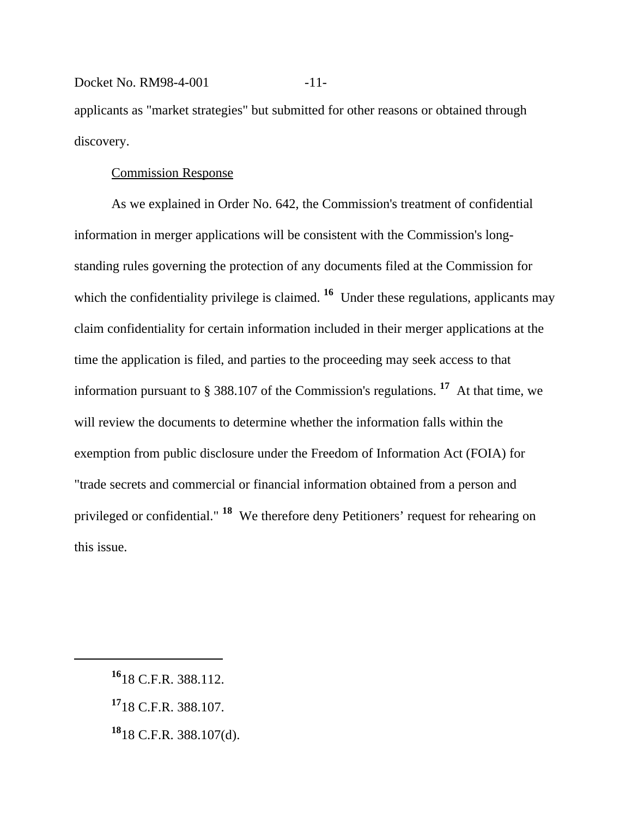# Docket No. RM98-4-001 -11-

applicants as "market strategies" but submitted for other reasons or obtained through discovery.

# Commission Response

As we explained in Order No. 642, the Commission's treatment of confidential information in merger applications will be consistent with the Commission's longstanding rules governing the protection of any documents filed at the Commission for which the confidentiality privilege is claimed. <sup>16</sup> Under these regulations, applicants may claim confidentiality for certain information included in their merger applications at the time the application is filed, and parties to the proceeding may seek access to that information pursuant to § 388.107 of the Commission's regulations. **17** At that time, we will review the documents to determine whether the information falls within the exemption from public disclosure under the Freedom of Information Act (FOIA) for "trade secrets and commercial or financial information obtained from a person and privileged or confidential." **18** We therefore deny Petitioners' request for rehearing on this issue.

**<sup>16</sup>**18 C.F.R. 388.112.

**<sup>17</sup>**18 C.F.R. 388.107.

**<sup>18</sup>**18 C.F.R. 388.107(d).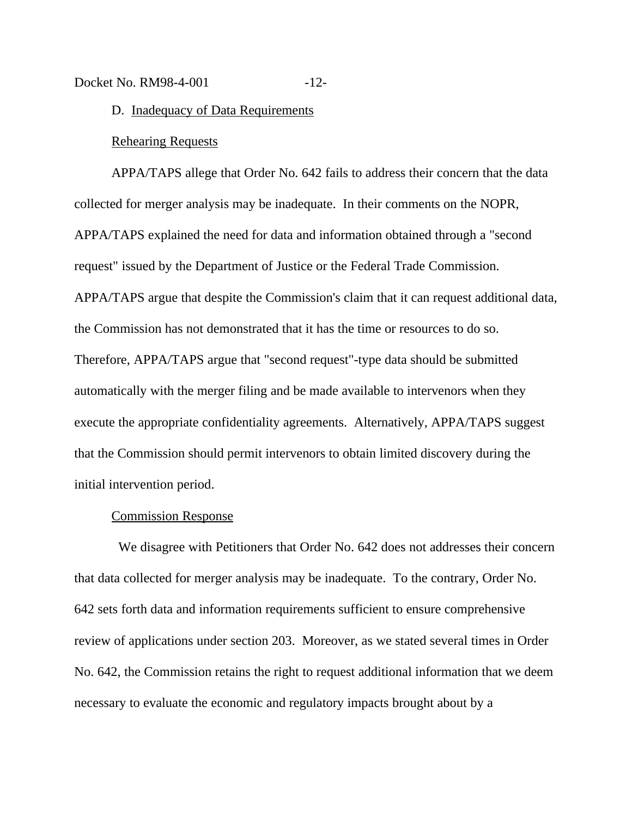Docket No. RM98-4-001 -12-

D. Inadequacy of Data Requirements

#### Rehearing Requests

APPA/TAPS allege that Order No. 642 fails to address their concern that the data collected for merger analysis may be inadequate. In their comments on the NOPR, APPA/TAPS explained the need for data and information obtained through a "second request" issued by the Department of Justice or the Federal Trade Commission. APPA/TAPS argue that despite the Commission's claim that it can request additional data, the Commission has not demonstrated that it has the time or resources to do so. Therefore, APPA/TAPS argue that "second request"-type data should be submitted automatically with the merger filing and be made available to intervenors when they execute the appropriate confidentiality agreements. Alternatively, APPA/TAPS suggest that the Commission should permit intervenors to obtain limited discovery during the initial intervention period.

#### Commission Response

 We disagree with Petitioners that Order No. 642 does not addresses their concern that data collected for merger analysis may be inadequate. To the contrary, Order No. 642 sets forth data and information requirements sufficient to ensure comprehensive review of applications under section 203. Moreover, as we stated several times in Order No. 642, the Commission retains the right to request additional information that we deem necessary to evaluate the economic and regulatory impacts brought about by a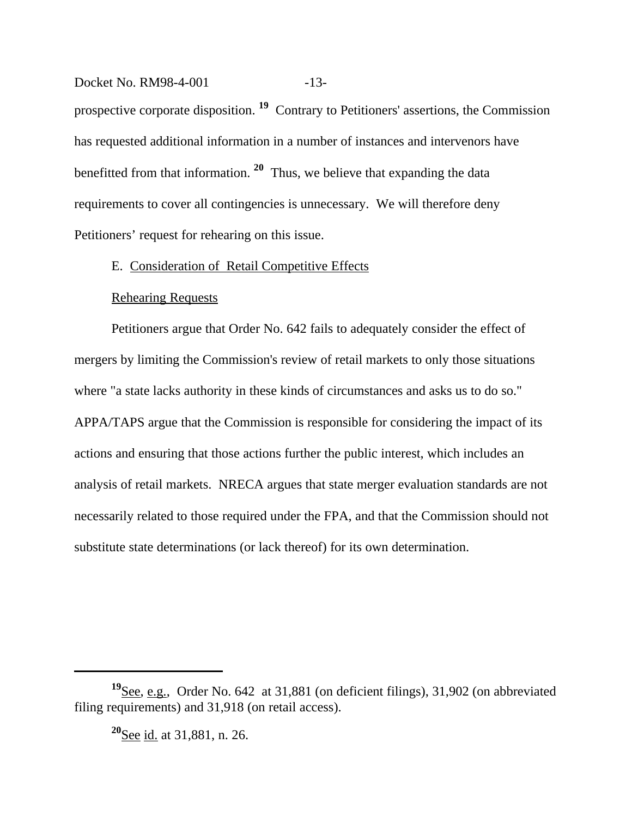Docket No. RM98-4-001 -13prospective corporate disposition. **19** Contrary to Petitioners' assertions, the Commission has requested additional information in a number of instances and intervenors have benefitted from that information. **20** Thus, we believe that expanding the data requirements to cover all contingencies is unnecessary. We will therefore deny Petitioners' request for rehearing on this issue.

# E. Consideration of Retail Competitive Effects

# Rehearing Requests

Petitioners argue that Order No. 642 fails to adequately consider the effect of mergers by limiting the Commission's review of retail markets to only those situations where "a state lacks authority in these kinds of circumstances and asks us to do so." APPA/TAPS argue that the Commission is responsible for considering the impact of its actions and ensuring that those actions further the public interest, which includes an analysis of retail markets. NRECA argues that state merger evaluation standards are not necessarily related to those required under the FPA, and that the Commission should not substitute state determinations (or lack thereof) for its own determination.

**<sup>19</sup>**See, e.g., Order No. 642 at 31,881 (on deficient filings), 31,902 (on abbreviated filing requirements) and 31,918 (on retail access).

**<sup>20</sup>**See id. at 31,881, n. 26.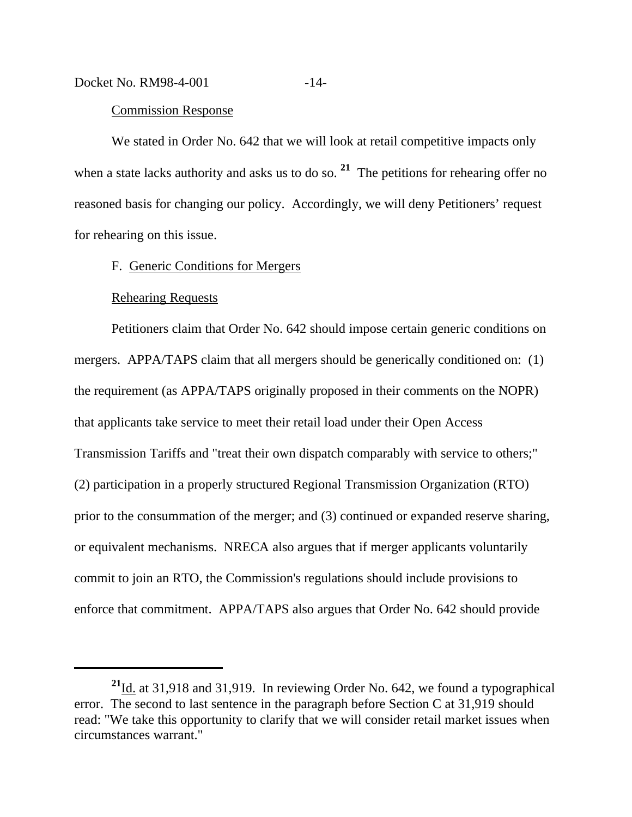#### Commission Response

We stated in Order No. 642 that we will look at retail competitive impacts only when a state lacks authority and asks us to do so.<sup>21</sup> The petitions for rehearing offer no reasoned basis for changing our policy. Accordingly, we will deny Petitioners' request for rehearing on this issue.

# F. Generic Conditions for Mergers

#### Rehearing Requests

Petitioners claim that Order No. 642 should impose certain generic conditions on mergers. APPA/TAPS claim that all mergers should be generically conditioned on: (1) the requirement (as APPA/TAPS originally proposed in their comments on the NOPR) that applicants take service to meet their retail load under their Open Access Transmission Tariffs and "treat their own dispatch comparably with service to others;" (2) participation in a properly structured Regional Transmission Organization (RTO) prior to the consummation of the merger; and (3) continued or expanded reserve sharing, or equivalent mechanisms. NRECA also argues that if merger applicants voluntarily commit to join an RTO, the Commission's regulations should include provisions to enforce that commitment. APPA/TAPS also argues that Order No. 642 should provide

**<sup>21</sup>**Id. at 31,918 and 31,919. In reviewing Order No. 642, we found a typographical error. The second to last sentence in the paragraph before Section C at 31,919 should read: "We take this opportunity to clarify that we will consider retail market issues when circumstances warrant."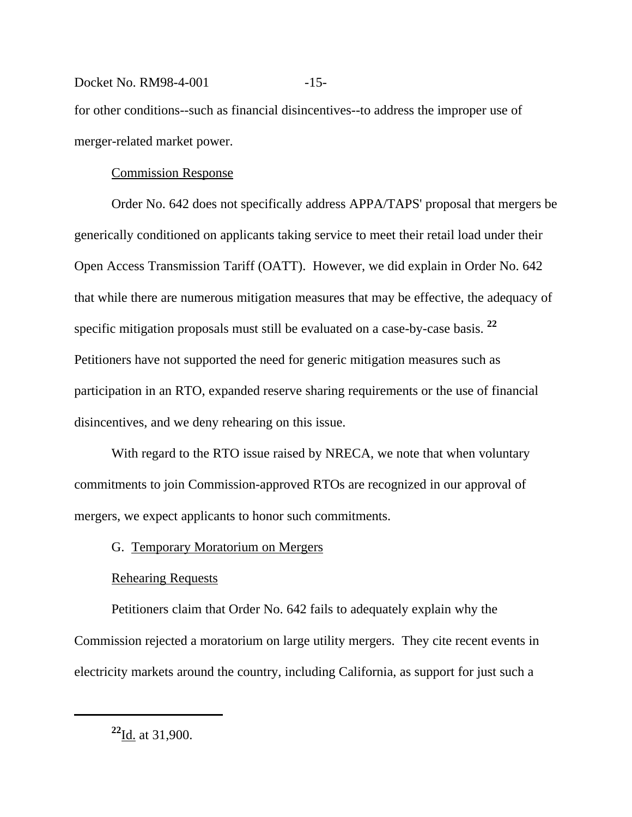### Docket No. RM98-4-001 -15-

for other conditions--such as financial disincentives--to address the improper use of merger-related market power.

# Commission Response

Order No. 642 does not specifically address APPA/TAPS' proposal that mergers be generically conditioned on applicants taking service to meet their retail load under their Open Access Transmission Tariff (OATT). However, we did explain in Order No. 642 that while there are numerous mitigation measures that may be effective, the adequacy of specific mitigation proposals must still be evaluated on a case-by-case basis. **<sup>22</sup>** Petitioners have not supported the need for generic mitigation measures such as participation in an RTO, expanded reserve sharing requirements or the use of financial disincentives, and we deny rehearing on this issue.

With regard to the RTO issue raised by NRECA, we note that when voluntary commitments to join Commission-approved RTOs are recognized in our approval of mergers, we expect applicants to honor such commitments.

# G. Temporary Moratorium on Mergers

# Rehearing Requests

Petitioners claim that Order No. 642 fails to adequately explain why the Commission rejected a moratorium on large utility mergers. They cite recent events in electricity markets around the country, including California, as support for just such a

**<sup>22</sup>**Id. at 31,900.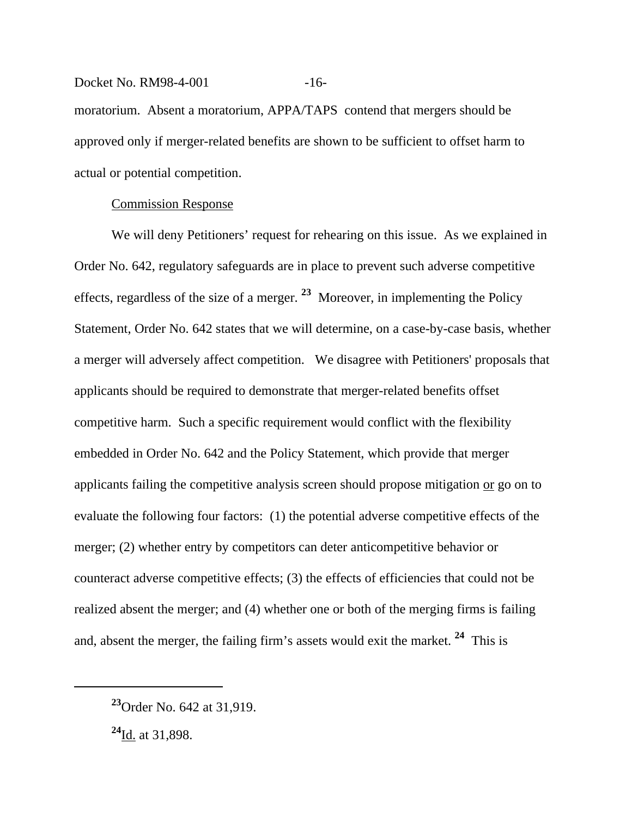# Docket No. RM98-4-001 -16moratorium. Absent a moratorium, APPA/TAPS contend that mergers should be approved only if merger-related benefits are shown to be sufficient to offset harm to actual or potential competition.

# Commission Response

We will deny Petitioners' request for rehearing on this issue. As we explained in Order No. 642, regulatory safeguards are in place to prevent such adverse competitive effects, regardless of the size of a merger. **23** Moreover, in implementing the Policy Statement, Order No. 642 states that we will determine, on a case-by-case basis, whether a merger will adversely affect competition. We disagree with Petitioners' proposals that applicants should be required to demonstrate that merger-related benefits offset competitive harm. Such a specific requirement would conflict with the flexibility embedded in Order No. 642 and the Policy Statement, which provide that merger applicants failing the competitive analysis screen should propose mitigation or go on to evaluate the following four factors: (1) the potential adverse competitive effects of the merger; (2) whether entry by competitors can deter anticompetitive behavior or counteract adverse competitive effects; (3) the effects of efficiencies that could not be realized absent the merger; and (4) whether one or both of the merging firms is failing and, absent the merger, the failing firm's assets would exit the market. **24** This is

**<sup>23</sup>**Order No. 642 at 31,919.

**<sup>24</sup>**Id. at 31,898.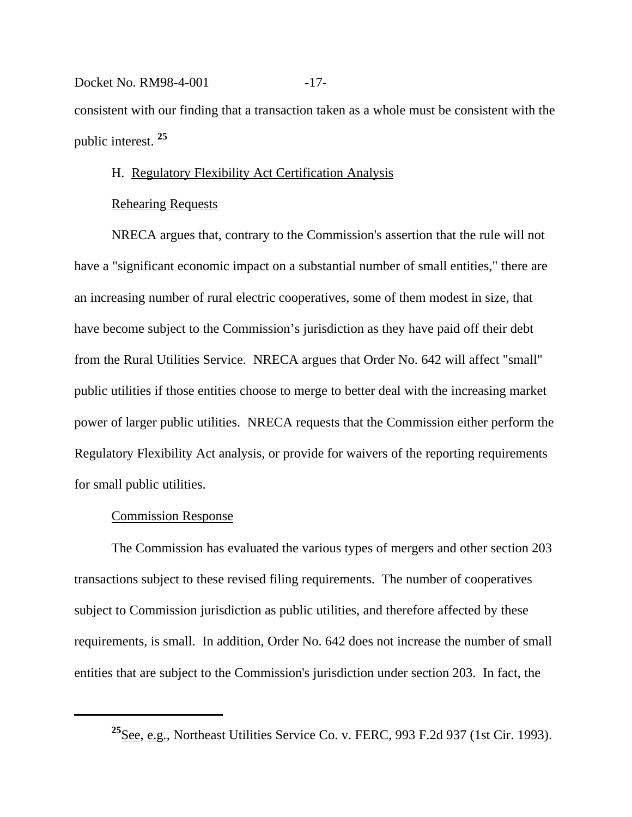# Docket No. RM98-4-001 -17consistent with our finding that a transaction taken as a whole must be consistent with the public interest. **<sup>25</sup>**

# H. Regulatory Flexibility Act Certification Analysis

### Rehearing Requests

NRECA argues that, contrary to the Commission's assertion that the rule will not have a "significant economic impact on a substantial number of small entities," there are an increasing number of rural electric cooperatives, some of them modest in size, that have become subject to the Commission's jurisdiction as they have paid off their debt from the Rural Utilities Service. NRECA argues that Order No. 642 will affect "small" public utilities if those entities choose to merge to better deal with the increasing market power of larger public utilities. NRECA requests that the Commission either perform the Regulatory Flexibility Act analysis, or provide for waivers of the reporting requirements for small public utilities.

# Commission Response

The Commission has evaluated the various types of mergers and other section 203 transactions subject to these revised filing requirements. The number of cooperatives subject to Commission jurisdiction as public utilities, and therefore affected by these requirements, is small. In addition, Order No. 642 does not increase the number of small entities that are subject to the Commission's jurisdiction under section 203. In fact, the

**<sup>25</sup>**See, e.g., Northeast Utilities Service Co. v. FERC, 993 F.2d 937 (1st Cir. 1993).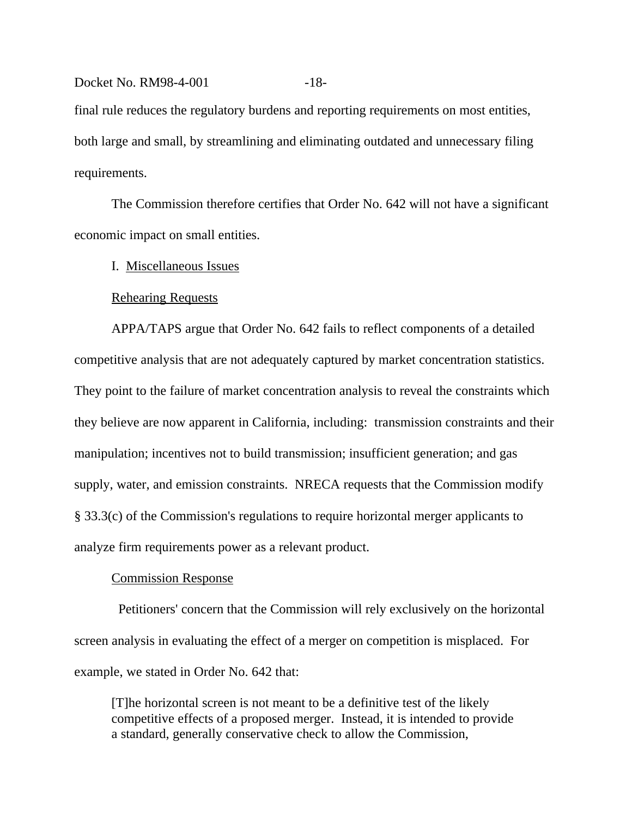# Docket No. RM98-4-001 -18final rule reduces the regulatory burdens and reporting requirements on most entities, both large and small, by streamlining and eliminating outdated and unnecessary filing requirements.

The Commission therefore certifies that Order No. 642 will not have a significant economic impact on small entities.

I. Miscellaneous Issues

# Rehearing Requests

APPA/TAPS argue that Order No. 642 fails to reflect components of a detailed competitive analysis that are not adequately captured by market concentration statistics. They point to the failure of market concentration analysis to reveal the constraints which they believe are now apparent in California, including: transmission constraints and their manipulation; incentives not to build transmission; insufficient generation; and gas supply, water, and emission constraints. NRECA requests that the Commission modify § 33.3(c) of the Commission's regulations to require horizontal merger applicants to analyze firm requirements power as a relevant product.

# Commission Response

 Petitioners' concern that the Commission will rely exclusively on the horizontal screen analysis in evaluating the effect of a merger on competition is misplaced. For example, we stated in Order No. 642 that:

[T]he horizontal screen is not meant to be a definitive test of the likely competitive effects of a proposed merger. Instead, it is intended to provide a standard, generally conservative check to allow the Commission,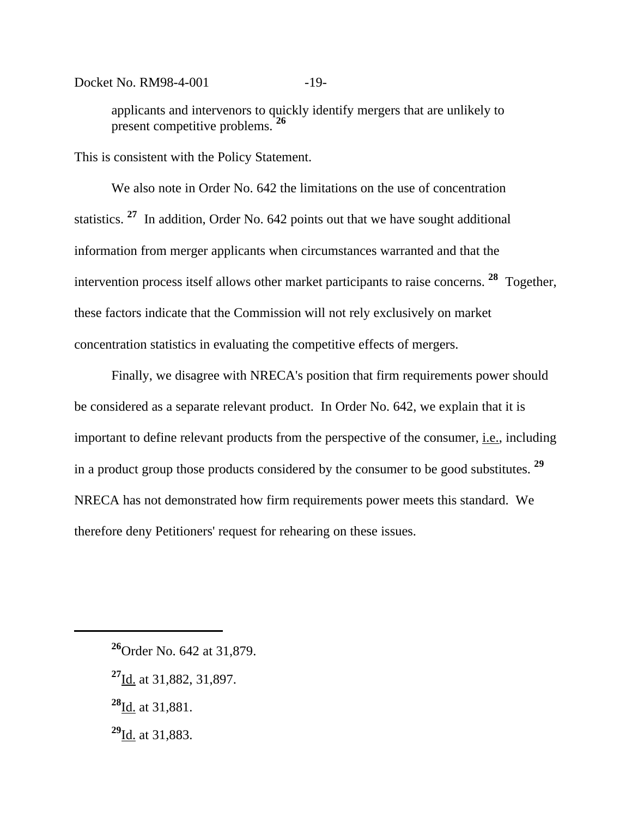Docket No. RM98-4-001 -19-

applicants and intervenors to quickly identify mergers that are unlikely to present competitive problems. **<sup>26</sup>**

This is consistent with the Policy Statement.

We also note in Order No. 642 the limitations on the use of concentration statistics. **27** In addition, Order No. 642 points out that we have sought additional information from merger applicants when circumstances warranted and that the intervention process itself allows other market participants to raise concerns. **28** Together, these factors indicate that the Commission will not rely exclusively on market concentration statistics in evaluating the competitive effects of mergers.

Finally, we disagree with NRECA's position that firm requirements power should be considered as a separate relevant product. In Order No. 642, we explain that it is important to define relevant products from the perspective of the consumer, i.e., including in a product group those products considered by the consumer to be good substitutes. **<sup>29</sup>** NRECA has not demonstrated how firm requirements power meets this standard. We therefore deny Petitioners' request for rehearing on these issues.

- **<sup>27</sup>**Id. at 31,882, 31,897.
- **<sup>28</sup>**Id. at 31,881.
- **<sup>29</sup>**Id. at 31,883.

**<sup>26</sup>**Order No. 642 at 31,879.